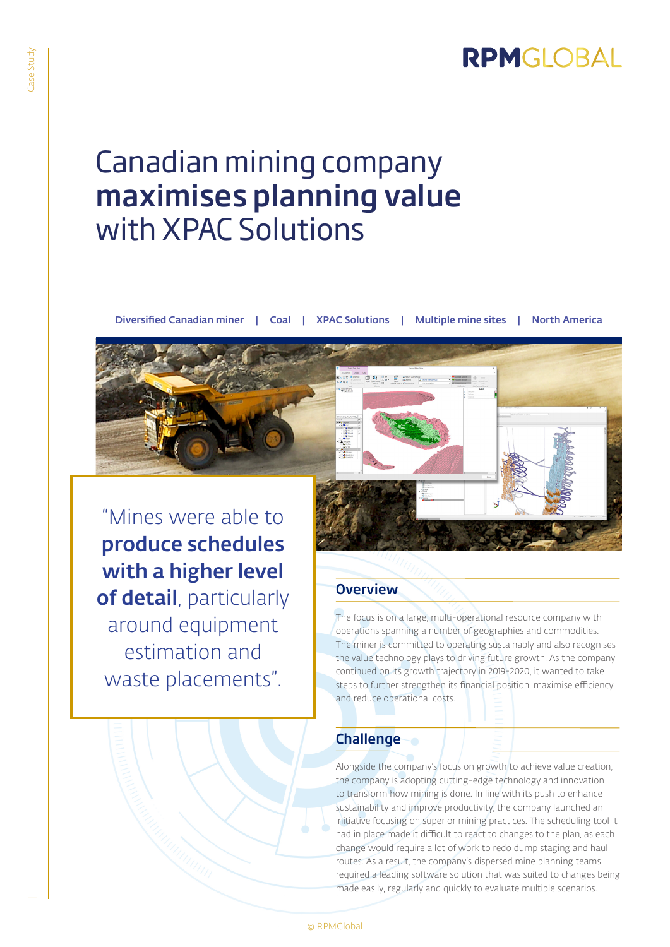

# Canadian mining company maximises planning value with XPAC Solutions

Diversified Canadian miner | Coal | XPAC Solutions | Multiple mine sites | North America

"Mines were able to produce schedules with a higher level of detail, particularly around equipment estimation and waste placements".

## **Overview**

The focus is on a large, multi-operational resource company with operations spanning a number of geographies and commodities. The miner is committed to operating sustainably and also recognises the value technology plays to driving future growth. As the company continued on its growth trajectory in 2019-2020, it wanted to take steps to further strengthen its financial position, maximise efficiency and reduce operational costs.

#### Challenge

Alongside the company's focus on growth to achieve value creation, the company is adopting cutting-edge technology and innovation to transform how mining is done. In line with its push to enhance sustainability and improve productivity, the company launched an initiative focusing on superior mining practices. The scheduling tool it had in place made it difficult to react to changes to the plan, as each change would require a lot of work to redo dump staging and haul routes. As a result, the company's dispersed mine planning teams required a leading software solution that was suited to changes being made easily, regularly and quickly to evaluate multiple scenarios.